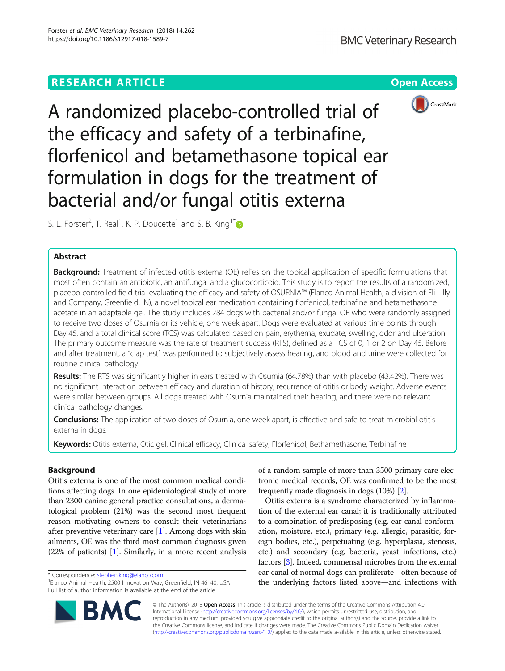# **RESEARCH ARTICLE Example 2018 12:30 THE Open Access**



A randomized placebo-controlled trial of the efficacy and safety of a terbinafine, florfenicol and betamethasone topical ear formulation in dogs for the treatment of bacterial and/or fungal otitis externa

S. L. Forster<sup>2</sup>, T. Real<sup>1</sup>, K. P. Doucette<sup>1</sup> and S. B. King<sup>1[\\*](http://orcid.org/0000-0002-5925-5038)</sup>

## Abstract

**Background:** Treatment of infected otitis externa (OE) relies on the topical application of specific formulations that most often contain an antibiotic, an antifungal and a glucocorticoid. This study is to report the results of a randomized, placebo-controlled field trial evaluating the efficacy and safety of OSURNIA™ (Elanco Animal Health, a division of Eli Lilly and Company, Greenfield, IN), a novel topical ear medication containing florfenicol, terbinafine and betamethasone acetate in an adaptable gel. The study includes 284 dogs with bacterial and/or fungal OE who were randomly assigned to receive two doses of Osurnia or its vehicle, one week apart. Dogs were evaluated at various time points through Day 45, and a total clinical score (TCS) was calculated based on pain, erythema, exudate, swelling, odor and ulceration. The primary outcome measure was the rate of treatment success (RTS), defined as a TCS of 0, 1 or 2 on Day 45. Before and after treatment, a "clap test" was performed to subjectively assess hearing, and blood and urine were collected for routine clinical pathology.

Results: The RTS was significantly higher in ears treated with Osurnia (64.78%) than with placebo (43.42%). There was no significant interaction between efficacy and duration of history, recurrence of otitis or body weight. Adverse events were similar between groups. All dogs treated with Osurnia maintained their hearing, and there were no relevant clinical pathology changes.

**Conclusions:** The application of two doses of Osurnia, one week apart, is effective and safe to treat microbial otitis externa in dogs.

Keywords: Otitis externa, Otic gel, Clinical efficacy, Clinical safety, Florfenicol, Bethamethasone, Terbinafine

## Background

Otitis externa is one of the most common medical conditions affecting dogs. In one epidemiological study of more than 2300 canine general practice consultations, a dermatological problem (21%) was the second most frequent reason motivating owners to consult their veterinarians after preventive veterinary care [\[1\]](#page-9-0). Among dogs with skin ailments, OE was the third most common diagnosis given (22% of patients) [[1](#page-9-0)]. Similarly, in a more recent analysis



Otitis externa is a syndrome characterized by inflammation of the external ear canal; it is traditionally attributed to a combination of predisposing (e.g. ear canal conformation, moisture, etc.), primary (e.g. allergic, parasitic, foreign bodies, etc.), perpetuating (e.g. hyperplasia, stenosis, etc.) and secondary (e.g. bacteria, yeast infections, etc.) factors [\[3](#page-9-0)]. Indeed, commensal microbes from the external ear canal of normal dogs can proliferate—often because of the underlying factors listed above—and infections with



© The Author(s). 2018 Open Access This article is distributed under the terms of the Creative Commons Attribution 4.0 International License [\(http://creativecommons.org/licenses/by/4.0/](http://creativecommons.org/licenses/by/4.0/)), which permits unrestricted use, distribution, and reproduction in any medium, provided you give appropriate credit to the original author(s) and the source, provide a link to the Creative Commons license, and indicate if changes were made. The Creative Commons Public Domain Dedication waiver [\(http://creativecommons.org/publicdomain/zero/1.0/](http://creativecommons.org/publicdomain/zero/1.0/)) applies to the data made available in this article, unless otherwise stated.

<sup>\*</sup> Correspondence: [stephen.king@elanco.com](mailto:stephen.king@elanco.com) <sup>1</sup>

<sup>&</sup>lt;sup>1</sup> Elanco Animal Health, 2500 Innovation Way, Greenfield, IN 46140, USA Full list of author information is available at the end of the article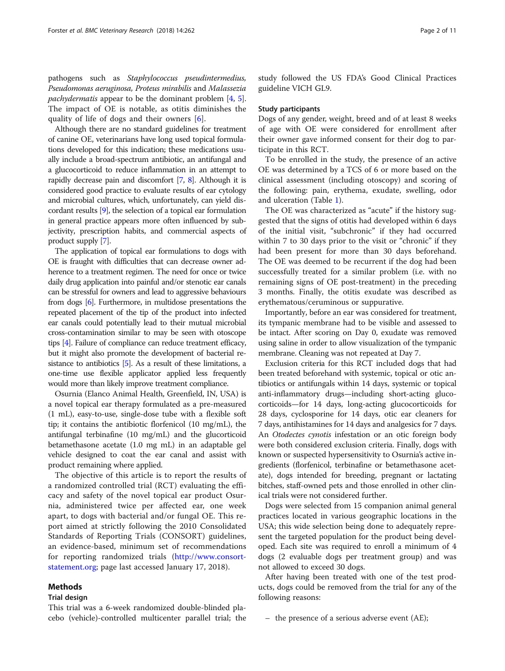pathogens such as Staphylococcus pseudintermedius, Pseudomonas aeruginosa, Proteus mirabilis and Malassezia pachydermatis appear to be the dominant problem [\[4](#page-9-0), [5](#page-9-0)]. The impact of OE is notable, as otitis diminishes the quality of life of dogs and their owners [\[6](#page-9-0)].

Although there are no standard guidelines for treatment of canine OE, veterinarians have long used topical formulations developed for this indication; these medications usually include a broad-spectrum antibiotic, an antifungal and a glucocorticoid to reduce inflammation in an attempt to rapidly decrease pain and discomfort [\[7](#page-9-0), [8](#page-9-0)]. Although it is considered good practice to evaluate results of ear cytology and microbial cultures, which, unfortunately, can yield discordant results [\[9](#page-9-0)], the selection of a topical ear formulation in general practice appears more often influenced by subjectivity, prescription habits, and commercial aspects of product supply [\[7\]](#page-9-0).

The application of topical ear formulations to dogs with OE is fraught with difficulties that can decrease owner adherence to a treatment regimen. The need for once or twice daily drug application into painful and/or stenotic ear canals can be stressful for owners and lead to aggressive behaviours from dogs [\[6\]](#page-9-0). Furthermore, in multidose presentations the repeated placement of the tip of the product into infected ear canals could potentially lead to their mutual microbial cross-contamination similar to may be seen with otoscope tips [\[4\]](#page-9-0). Failure of compliance can reduce treatment efficacy, but it might also promote the development of bacterial resistance to antibiotics [\[5\]](#page-9-0). As a result of these limitations, a one-time use flexible applicator applied less frequently would more than likely improve treatment compliance.

Osurnia (Elanco Animal Health, Greenfield, IN, USA) is a novel topical ear therapy formulated as a pre-measured (1 mL), easy-to-use, single-dose tube with a flexible soft tip; it contains the antibiotic florfenicol (10 mg/mL), the antifungal terbinafine (10 mg/mL) and the glucorticoid betamethasone acetate (1.0 mg mL) in an adaptable gel vehicle designed to coat the ear canal and assist with product remaining where applied.

The objective of this article is to report the results of a randomized controlled trial (RCT) evaluating the efficacy and safety of the novel topical ear product Osurnia, administered twice per affected ear, one week apart, to dogs with bacterial and/or fungal OE. This report aimed at strictly following the 2010 Consolidated Standards of Reporting Trials (CONSORT) guidelines, an evidence-based, minimum set of recommendations for reporting randomized trials ([http://www.consort](http://www.consort-statement.org)[statement.org;](http://www.consort-statement.org) page last accessed January 17, 2018).

### Methods

### Trial design

This trial was a 6-week randomized double-blinded placebo (vehicle)-controlled multicenter parallel trial; the study followed the US FDA's Good Clinical Practices guideline VICH GL9.

#### Study participants

Dogs of any gender, weight, breed and of at least 8 weeks of age with OE were considered for enrollment after their owner gave informed consent for their dog to participate in this RCT.

To be enrolled in the study, the presence of an active OE was determined by a TCS of 6 or more based on the clinical assessment (including otoscopy) and scoring of the following: pain, erythema, exudate, swelling, odor and ulceration (Table [1\)](#page-2-0).

The OE was characterized as "acute" if the history suggested that the signs of otitis had developed within 6 days of the initial visit, "subchronic" if they had occurred within 7 to 30 days prior to the visit or "chronic" if they had been present for more than 30 days beforehand. The OE was deemed to be recurrent if the dog had been successfully treated for a similar problem (i.e. with no remaining signs of OE post-treatment) in the preceding 3 months. Finally, the otitis exudate was described as erythematous/ceruminous or suppurative.

Importantly, before an ear was considered for treatment, its tympanic membrane had to be visible and assessed to be intact. After scoring on Day 0, exudate was removed using saline in order to allow visualization of the tympanic membrane. Cleaning was not repeated at Day 7.

Exclusion criteria for this RCT included dogs that had been treated beforehand with systemic, topical or otic antibiotics or antifungals within 14 days, systemic or topical anti-inflammatory drugs—including short-acting glucocorticoids—for 14 days, long-acting glucocorticoids for 28 days, cyclosporine for 14 days, otic ear cleaners for 7 days, antihistamines for 14 days and analgesics for 7 days. An Otodectes cynotis infestation or an otic foreign body were both considered exclusion criteria. Finally, dogs with known or suspected hypersensitivity to Osurnia's active ingredients (florfenicol, terbinafine or betamethasone acetate), dogs intended for breeding, pregnant or lactating bitches, staff-owned pets and those enrolled in other clinical trials were not considered further.

Dogs were selected from 15 companion animal general practices located in various geographic locations in the USA; this wide selection being done to adequately represent the targeted population for the product being developed. Each site was required to enroll a minimum of 4 dogs (2 evaluable dogs per treatment group) and was not allowed to exceed 30 dogs.

After having been treated with one of the test products, dogs could be removed from the trial for any of the following reasons:

– the presence of a serious adverse event (AE);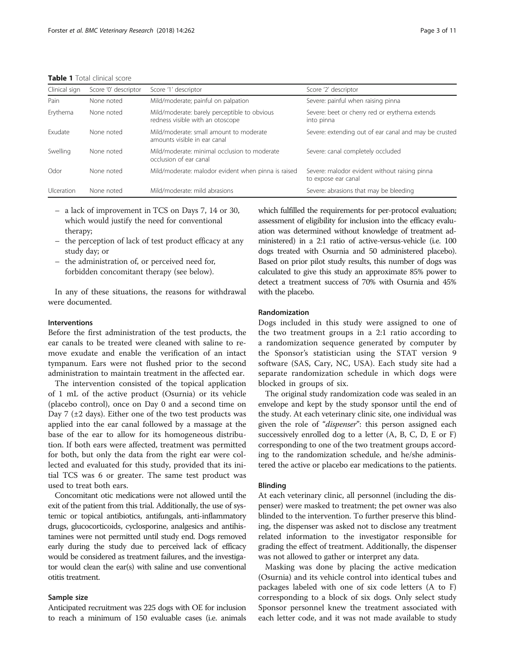<span id="page-2-0"></span>Table 1 Total clinical score

| Clinical sign  | Score '0' descriptor | Score '1' descriptor                                                             | Score '2' descriptor                                                 |
|----------------|----------------------|----------------------------------------------------------------------------------|----------------------------------------------------------------------|
| Pain           | None noted           | Mild/moderate; painful on palpation                                              | Severe: painful when raising pinna                                   |
| Erythema       | None noted           | Mild/moderate: barely perceptible to obvious<br>redness visible with an otoscope | Severe: beet or cherry red or erythema extends<br>into pinna         |
| <b>Exudate</b> | None noted           | Mild/moderate: small amount to moderate<br>amounts visible in ear canal          | Severe: extending out of ear canal and may be crusted                |
| Swelling       | None noted           | Mild/moderate: minimal occlusion to moderate<br>occlusion of ear canal           | Severe: canal completely occluded                                    |
| Odor           | None noted           | Mild/moderate: malodor evident when pinna is raised                              | Severe: malodor evident without raising pinna<br>to expose ear canal |
| Ulceration     | None noted           | Mild/moderate: mild abrasions                                                    | Severe: abrasions that may be bleeding                               |

- a lack of improvement in TCS on Days 7, 14 or 30, which would justify the need for conventional therapy;
- the perception of lack of test product efficacy at any study day; or
- the administration of, or perceived need for, forbidden concomitant therapy (see below).

In any of these situations, the reasons for withdrawal were documented.

### Interventions

Before the first administration of the test products, the ear canals to be treated were cleaned with saline to remove exudate and enable the verification of an intact tympanum. Ears were not flushed prior to the second administration to maintain treatment in the affected ear.

The intervention consisted of the topical application of 1 mL of the active product (Osurnia) or its vehicle (placebo control), once on Day 0 and a second time on Day 7 ( $\pm$ 2 days). Either one of the two test products was applied into the ear canal followed by a massage at the base of the ear to allow for its homogeneous distribution. If both ears were affected, treatment was permitted for both, but only the data from the right ear were collected and evaluated for this study, provided that its initial TCS was 6 or greater. The same test product was used to treat both ears.

Concomitant otic medications were not allowed until the exit of the patient from this trial. Additionally, the use of systemic or topical antibiotics, antifungals, anti-inflammatory drugs, glucocorticoids, cyclosporine, analgesics and antihistamines were not permitted until study end. Dogs removed early during the study due to perceived lack of efficacy would be considered as treatment failures, and the investigator would clean the ear(s) with saline and use conventional otitis treatment.

### Sample size

Anticipated recruitment was 225 dogs with OE for inclusion to reach a minimum of 150 evaluable cases (i.e. animals which fulfilled the requirements for per-protocol evaluation; assessment of eligibility for inclusion into the efficacy evaluation was determined without knowledge of treatment administered) in a 2:1 ratio of active-versus-vehicle (i.e. 100 dogs treated with Osurnia and 50 administered placebo). Based on prior pilot study results, this number of dogs was calculated to give this study an approximate 85% power to detect a treatment success of 70% with Osurnia and 45% with the placebo.

#### Randomization

Dogs included in this study were assigned to one of the two treatment groups in a 2:1 ratio according to a randomization sequence generated by computer by the Sponsor's statistician using the STAT version 9 software (SAS, Cary, NC, USA). Each study site had a separate randomization schedule in which dogs were blocked in groups of six.

The original study randomization code was sealed in an envelope and kept by the study sponsor until the end of the study. At each veterinary clinic site, one individual was given the role of "*dispenser*": this person assigned each successively enrolled dog to a letter (A, B, C, D, E or F) corresponding to one of the two treatment groups according to the randomization schedule, and he/she administered the active or placebo ear medications to the patients.

### Blinding

At each veterinary clinic, all personnel (including the dispenser) were masked to treatment; the pet owner was also blinded to the intervention. To further preserve this blinding, the dispenser was asked not to disclose any treatment related information to the investigator responsible for grading the effect of treatment. Additionally, the dispenser was not allowed to gather or interpret any data.

Masking was done by placing the active medication (Osurnia) and its vehicle control into identical tubes and packages labeled with one of six code letters (A to F) corresponding to a block of six dogs. Only select study Sponsor personnel knew the treatment associated with each letter code, and it was not made available to study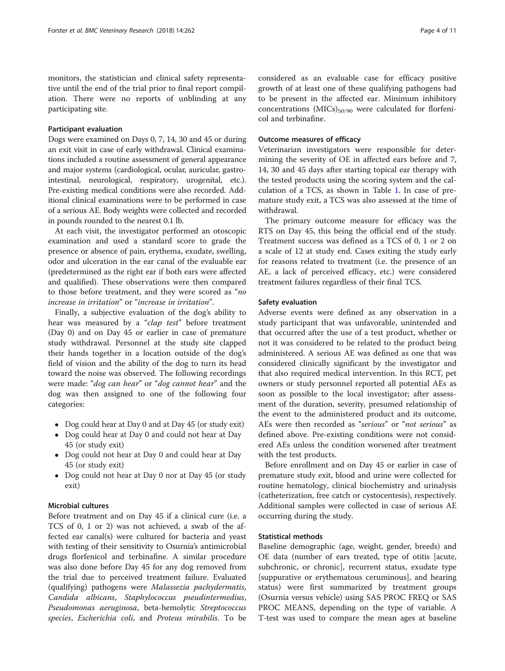monitors, the statistician and clinical safety representative until the end of the trial prior to final report compilation. There were no reports of unblinding at any participating site.

#### Participant evaluation

Dogs were examined on Days 0, 7, 14, 30 and 45 or during an exit visit in case of early withdrawal. Clinical examinations included a routine assessment of general appearance and major systems (cardiological, ocular, auricular, gastrointestinal, neurological, respiratory, urogenital, etc.). Pre-existing medical conditions were also recorded. Additional clinical examinations were to be performed in case of a serious AE. Body weights were collected and recorded in pounds rounded to the nearest 0.1 lb.

At each visit, the investigator performed an otoscopic examination and used a standard score to grade the presence or absence of pain, erythema, exudate, swelling, odor and ulceration in the ear canal of the evaluable ear (predetermined as the right ear if both ears were affected and qualified). These observations were then compared to those before treatment, and they were scored as "no increase in irritation" or "increase in irritation".

Finally, a subjective evaluation of the dog's ability to hear was measured by a "clap test" before treatment (Day 0) and on Day 45 or earlier in case of premature study withdrawal. Personnel at the study site clapped their hands together in a location outside of the dog's field of vision and the ability of the dog to turn its head toward the noise was observed. The following recordings were made: "dog can hear" or "dog cannot hear" and the dog was then assigned to one of the following four categories:

- Dog could hear at Day 0 and at Day 45 (or study exit)
- Dog could hear at Day 0 and could not hear at Day 45 (or study exit)
- Dog could not hear at Day 0 and could hear at Day 45 (or study exit)
- Dog could not hear at Day 0 nor at Day 45 (or study exit)

### Microbial cultures

Before treatment and on Day 45 if a clinical cure (i.e. a TCS of 0, 1 or 2) was not achieved, a swab of the affected ear canal(s) were cultured for bacteria and yeast with testing of their sensitivity to Osurnia's antimicrobial drugs florfenicol and terbinafine. A similar procedure was also done before Day 45 for any dog removed from the trial due to perceived treatment failure. Evaluated (qualifying) pathogens were Malassezia pachydermatis, Candida albicans, Staphylococcus pseudintermedius, Pseudomonas aeruginosa, beta-hemolytic Streptococcus species, Escherichia coli, and Proteus mirabilis. To be

considered as an evaluable case for efficacy positive growth of at least one of these qualifying pathogens had to be present in the affected ear. Minimum inhibitory concentrations (MICs) $_{50/90}$  were calculated for florfenicol and terbinafine.

### Outcome measures of efficacy

Veterinarian investigators were responsible for determining the severity of OE in affected ears before and 7, 14, 30 and 45 days after starting topical ear therapy with the tested products using the scoring system and the calculation of a TCS, as shown in Table [1](#page-2-0). In case of premature study exit, a TCS was also assessed at the time of withdrawal.

The primary outcome measure for efficacy was the RTS on Day 45, this being the official end of the study. Treatment success was defined as a TCS of 0, 1 or 2 on a scale of 12 at study end. Cases exiting the study early for reasons related to treatment (i.e. the presence of an AE, a lack of perceived efficacy, etc.) were considered treatment failures regardless of their final TCS.

#### Safety evaluation

Adverse events were defined as any observation in a study participant that was unfavorable, unintended and that occurred after the use of a test product, whether or not it was considered to be related to the product being administered. A serious AE was defined as one that was considered clinically significant by the investigator and that also required medical intervention. In this RCT, pet owners or study personnel reported all potential AEs as soon as possible to the local investigator; after assessment of the duration, severity, presumed relationship of the event to the administered product and its outcome, AEs were then recorded as "serious" or "not serious" as defined above. Pre-existing conditions were not considered AEs unless the condition worsened after treatment with the test products.

Before enrollment and on Day 45 or earlier in case of premature study exit, blood and urine were collected for routine hematology, clinical biochemistry and urinalysis (catheterization, free catch or cystocentesis), respectively. Additional samples were collected in case of serious AE occurring during the study.

### Statistical methods

Baseline demographic (age, weight, gender, breeds) and OE data (number of ears treated, type of otitis [acute, subchronic, or chronic], recurrent status, exudate type [suppurative or erythematous ceruminous], and hearing status) were first summarized by treatment groups (Osurnia versus vehicle) using SAS PROC FREQ or SAS PROC MEANS, depending on the type of variable. A T-test was used to compare the mean ages at baseline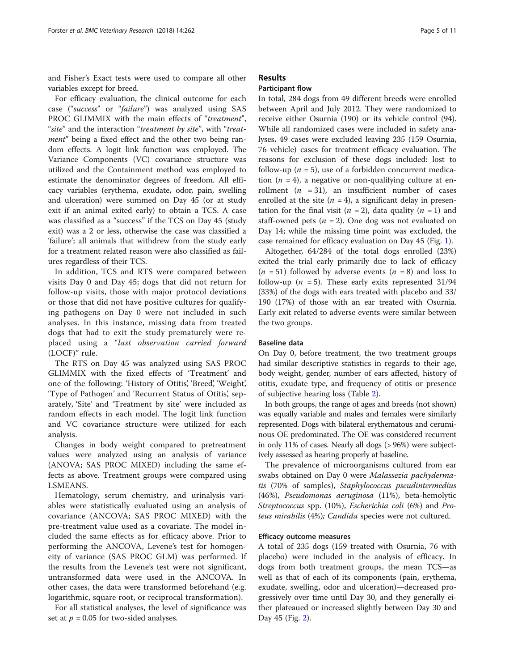and Fisher's Exact tests were used to compare all other variables except for breed.

For efficacy evaluation, the clinical outcome for each case ("success" or "failure") was analyzed using SAS PROC GLIMMIX with the main effects of "treatment", "site" and the interaction "treatment by site", with "treatment" being a fixed effect and the other two being random effects. A logit link function was employed. The Variance Components (VC) covariance structure was utilized and the Containment method was employed to estimate the denominator degrees of freedom. All efficacy variables (erythema, exudate, odor, pain, swelling and ulceration) were summed on Day 45 (or at study exit if an animal exited early) to obtain a TCS. A case was classified as a "success" if the TCS on Day 45 (study exit) was a 2 or less, otherwise the case was classified a 'failure'; all animals that withdrew from the study early for a treatment related reason were also classified as failures regardless of their TCS.

In addition, TCS and RTS were compared between visits Day 0 and Day 45; dogs that did not return for follow-up visits, those with major protocol deviations or those that did not have positive cultures for qualifying pathogens on Day 0 were not included in such analyses. In this instance, missing data from treated dogs that had to exit the study prematurely were replaced using a "last observation carried forward (LOCF)" rule.

The RTS on Day 45 was analyzed using SAS PROC GLIMMIX with the fixed effects of 'Treatment' and one of the following: 'History of Otitis', 'Breed', 'Weight', 'Type of Pathogen' and 'Recurrent Status of Otitis', separately, 'Site' and 'Treatment by site' were included as random effects in each model. The logit link function and VC covariance structure were utilized for each analysis.

Changes in body weight compared to pretreatment values were analyzed using an analysis of variance (ANOVA; SAS PROC MIXED) including the same effects as above. Treatment groups were compared using LSMEANS.

Hematology, serum chemistry, and urinalysis variables were statistically evaluated using an analysis of covariance (ANCOVA; SAS PROC MIXED) with the pre-treatment value used as a covariate. The model included the same effects as for efficacy above. Prior to performing the ANCOVA, Levene's test for homogeneity of variance (SAS PROC GLM) was performed. If the results from the Levene's test were not significant, untransformed data were used in the ANCOVA. In other cases, the data were transformed beforehand (e.g. logarithmic, square root, or reciprocal transformation).

For all statistical analyses, the level of significance was set at  $p = 0.05$  for two-sided analyses.

### Results

### Participant flow

In total, 284 dogs from 49 different breeds were enrolled between April and July 2012. They were randomized to receive either Osurnia (190) or its vehicle control (94). While all randomized cases were included in safety analyses, 49 cases were excluded leaving 235 (159 Osurnia, 76 vehicle) cases for treatment efficacy evaluation. The reasons for exclusion of these dogs included: lost to follow-up ( $n = 5$ ), use of a forbidden concurrent medication  $(n = 4)$ , a negative or non-qualifying culture at enrollment  $(n = 31)$ , an insufficient number of cases enrolled at the site  $(n = 4)$ , a significant delay in presentation for the final visit ( $n = 2$ ), data quality ( $n = 1$ ) and staff-owned pets ( $n = 2$ ). One dog was not evaluated on Day 14; while the missing time point was excluded, the case remained for efficacy evaluation on Day 45 (Fig. [1](#page-5-0)).

Altogether, 64/284 of the total dogs enrolled (23%) exited the trial early primarily due to lack of efficacy  $(n = 51)$  followed by adverse events  $(n = 8)$  and loss to follow-up ( $n = 5$ ). These early exits represented 31/94 (33%) of the dogs with ears treated with placebo and 33/ 190 (17%) of those with an ear treated with Osurnia. Early exit related to adverse events were similar between the two groups.

### Baseline data

On Day 0, before treatment, the two treatment groups had similar descriptive statistics in regards to their age, body weight, gender, number of ears affected, history of otitis, exudate type, and frequency of otitis or presence of subjective hearing loss (Table [2\)](#page-5-0).

In both groups, the range of ages and breeds (not shown) was equally variable and males and females were similarly represented. Dogs with bilateral erythematous and ceruminous OE predominated. The OE was considered recurrent in only 11% of cases. Nearly all dogs (> 96%) were subjectively assessed as hearing properly at baseline.

The prevalence of microorganisms cultured from ear swabs obtained on Day 0 were Malassezia pachydermatis (70% of samples), Staphylococcus pseudintermedius (46%), Pseudomonas aeruginosa (11%), beta-hemolytic Streptococcus spp. (10%), Escherichia coli (6%) and Proteus mirabilis (4%); Candida species were not cultured.

#### Efficacy outcome measures

A total of 235 dogs (159 treated with Osurnia, 76 with placebo) were included in the analysis of efficacy. In dogs from both treatment groups, the mean TCS—as well as that of each of its components (pain, erythema, exudate, swelling, odor and ulceration)—decreased progressively over time until Day 30, and they generally either plateaued or increased slightly between Day 30 and Day 45 (Fig. [2\)](#page-6-0).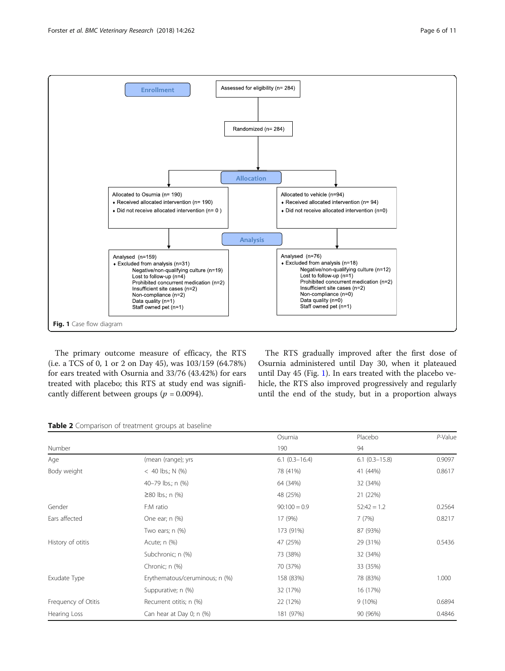<span id="page-5-0"></span>

The primary outcome measure of efficacy, the RTS (i.e. a TCS of 0, 1 or 2 on Day 45), was 103/159 (64.78%) for ears treated with Osurnia and 33/76 (43.42%) for ears treated with placebo; this RTS at study end was significantly different between groups ( $p = 0.0094$ ).

The RTS gradually improved after the first dose of Osurnia administered until Day 30, when it plateaued until Day 45 (Fig. 1). In ears treated with the placebo vehicle, the RTS also improved progressively and regularly until the end of the study, but in a proportion always

|                     |                                | Osurnia            | Placebo            | P-Value |
|---------------------|--------------------------------|--------------------|--------------------|---------|
| Number              |                                | 190                | 94                 |         |
| Age                 | (mean (range); yrs             | $6.1$ $(0.3-16.4)$ | $6.1$ $(0.3-15.8)$ | 0.9097  |
| Body weight         | $<$ 40 lbs.; N (%)             | 78 (41%)           | 41 (44%)           | 0.8617  |
|                     | 40-79 lbs.; n (%)              | 64 (34%)           | 32 (34%)           |         |
|                     | $≥80$ lbs.; n $(%$             | 48 (25%)           | 21 (22%)           |         |
| Gender              | F:M ratio                      | $90:100 = 0.9$     | $52:42 = 1.2$      | 0.2564  |
| Ears affected       | One ear; n (%)                 | 17 (9%)            | 7(7%)              | 0.8217  |
|                     | Two ears; n (%)                | 173 (91%)          | 87 (93%)           |         |
| History of otitis   | Acute; n (%)                   | 47 (25%)           | 29 (31%)           | 0.5436  |
|                     | Subchronic; n (%)              | 73 (38%)           | 32 (34%)           |         |
|                     | Chronic; n (%)                 | 70 (37%)           | 33 (35%)           |         |
| Exudate Type        | Erythematous/ceruminous; n (%) | 158 (83%)          | 78 (83%)           | 1.000   |
|                     | Suppurative; n (%)             | 32 (17%)           | 16 (17%)           |         |
| Frequency of Otitis | Recurrent otitis; n (%)        | 22 (12%)           | $9(10\%)$          | 0.6894  |
| Hearing Loss        | Can hear at Day 0; n (%)       | 181 (97%)          | 90 (96%)           | 0.4846  |

|  |  | Table 2 Comparison of treatment groups at baseline |
|--|--|----------------------------------------------------|
|--|--|----------------------------------------------------|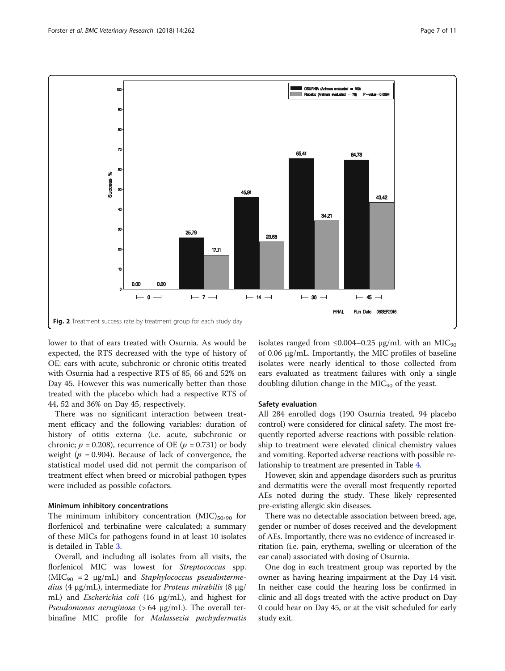<span id="page-6-0"></span>

lower to that of ears treated with Osurnia. As would be expected, the RTS decreased with the type of history of OE: ears with acute, subchronic or chronic otitis treated with Osurnia had a respective RTS of 85, 66 and 52% on Day 45. However this was numerically better than those treated with the placebo which had a respective RTS of 44, 52 and 36% on Day 45, respectively.

There was no significant interaction between treatment efficacy and the following variables: duration of history of otitis externa (i.e. acute, subchronic or chronic;  $p = 0.208$ ), recurrence of OE ( $p = 0.731$ ) or body weight ( $p = 0.904$ ). Because of lack of convergence, the statistical model used did not permit the comparison of treatment effect when breed or microbial pathogen types were included as possible cofactors.

#### Minimum inhibitory concentrations

The minimum inhibitory concentration  $(MIC)_{50/90}$  for florfenicol and terbinafine were calculated; a summary of these MICs for pathogens found in at least 10 isolates is detailed in Table [3.](#page-7-0)

Overall, and including all isolates from all visits, the florfenicol MIC was lowest for *Streptococcus* spp.  $(MIC_{90} = 2 \mu g/mL)$  and *Staphylococcus pseudinterme*dius (4 μg/mL), intermediate for *Proteus mirabilis* (8 μg/ mL) and *Escherichia coli* (16 μg/mL), and highest for *Pseudomonas aeruginosa* ( $> 64 \mu g/mL$ ). The overall terbinafine MIC profile for Malassezia pachydermatis isolates ranged from  $\leq 0.004 - 0.25$  µg/mL with an MIC<sub>90</sub> of 0.06 μg/mL. Importantly, the MIC profiles of baseline isolates were nearly identical to those collected from ears evaluated as treatment failures with only a single doubling dilution change in the  $MIC<sub>90</sub>$  of the yeast.

#### Safety evaluation

All 284 enrolled dogs (190 Osurnia treated, 94 placebo control) were considered for clinical safety. The most frequently reported adverse reactions with possible relationship to treatment were elevated clinical chemistry values and vomiting. Reported adverse reactions with possible relationship to treatment are presented in Table [4](#page-7-0).

However, skin and appendage disorders such as pruritus and dermatitis were the overall most frequently reported AEs noted during the study. These likely represented pre-existing allergic skin diseases.

There was no detectable association between breed, age, gender or number of doses received and the development of AEs. Importantly, there was no evidence of increased irritation (i.e. pain, erythema, swelling or ulceration of the ear canal) associated with dosing of Osurnia.

One dog in each treatment group was reported by the owner as having hearing impairment at the Day 14 visit. In neither case could the hearing loss be confirmed in clinic and all dogs treated with the active product on Day 0 could hear on Day 45, or at the visit scheduled for early study exit.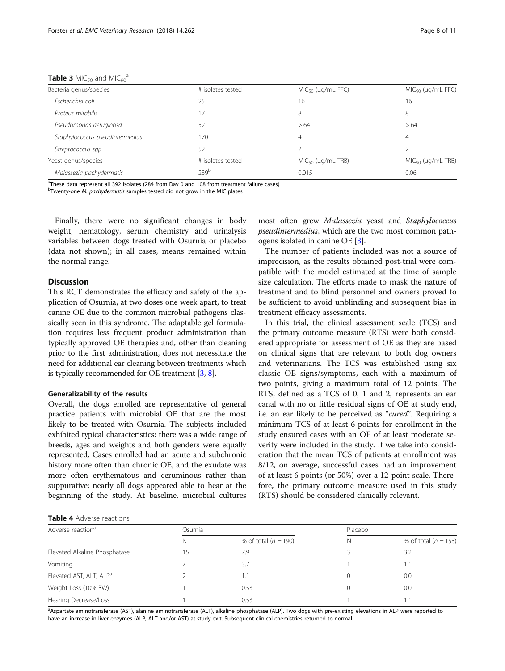#### <span id="page-7-0"></span>**Table 3** MIC<sub>50</sub> and MIC<sub>90</sub><sup>a</sup>

| Page 8 |  |
|--------|--|
|--------|--|

| Bacteria genus/species          | # isolates tested | $MIC50$ (µg/mL FFC) | $MIC90$ (µg/mL FFC) |
|---------------------------------|-------------------|---------------------|---------------------|
| Escherichia coli                | 25                | 16                  | 16                  |
| Proteus mirabilis               | 17                | 8                   | 8                   |
| Pseudomonas aeruginosa          | 52                | >64                 | >64                 |
| Staphylococcus pseudintermedius | 170               | 4                   | $\overline{4}$      |
| Streptococcus spp               | 52                |                     |                     |
| Yeast genus/species             | # isolates tested | $MIC50$ (µg/mL TRB) | $MIC90$ (µg/mL TRB) |
| Malassezia pachydermatis        | 239 <sup>b</sup>  | 0.015               | 0.06                |
|                                 |                   |                     |                     |

<sup>a</sup>These data represent all 392 isolates (284 from Day 0 and 108 from treatment failure cases)

<sup>b</sup>Twenty-one *M. pachydermatis* samples tested did not grow in the MIC plates

Finally, there were no significant changes in body weight, hematology, serum chemistry and urinalysis variables between dogs treated with Osurnia or placebo (data not shown); in all cases, means remained within the normal range.

### **Discussion**

This RCT demonstrates the efficacy and safety of the application of Osurnia, at two doses one week apart, to treat canine OE due to the common microbial pathogens classically seen in this syndrome. The adaptable gel formulation requires less frequent product administration than typically approved OE therapies and, other than cleaning prior to the first administration, does not necessitate the need for additional ear cleaning between treatments which is typically recommended for OE treatment [[3,](#page-9-0) [8](#page-9-0)].

### Generalizability of the results

Overall, the dogs enrolled are representative of general practice patients with microbial OE that are the most likely to be treated with Osurnia. The subjects included exhibited typical characteristics: there was a wide range of breeds, ages and weights and both genders were equally represented. Cases enrolled had an acute and subchronic history more often than chronic OE, and the exudate was more often erythematous and ceruminous rather than suppurative; nearly all dogs appeared able to hear at the beginning of the study. At baseline, microbial cultures

most often grew Malassezia yeast and Staphylococcus pseudintermedius, which are the two most common pathogens isolated in canine OE [\[3](#page-9-0)].

The number of patients included was not a source of imprecision, as the results obtained post-trial were compatible with the model estimated at the time of sample size calculation. The efforts made to mask the nature of treatment and to blind personnel and owners proved to be sufficient to avoid unblinding and subsequent bias in treatment efficacy assessments.

In this trial, the clinical assessment scale (TCS) and the primary outcome measure (RTS) were both considered appropriate for assessment of OE as they are based on clinical signs that are relevant to both dog owners and veterinarians. The TCS was established using six classic OE signs/symptoms, each with a maximum of two points, giving a maximum total of 12 points. The RTS, defined as a TCS of 0, 1 and 2, represents an ear canal with no or little residual signs of OE at study end, i.e. an ear likely to be perceived as "cured". Requiring a minimum TCS of at least 6 points for enrollment in the study ensured cases with an OE of at least moderate severity were included in the study. If we take into consideration that the mean TCS of patients at enrollment was 8/12, on average, successful cases had an improvement of at least 6 points (or 50%) over a 12-point scale. Therefore, the primary outcome measure used in this study (RTS) should be considered clinically relevant.

| Adverse reaction <sup>a</sup>       | Osurnia |                          | Placebo |                          |
|-------------------------------------|---------|--------------------------|---------|--------------------------|
|                                     |         | % of total ( $n = 190$ ) |         | % of total ( $n = 158$ ) |
| Elevated Alkaline Phosphatase       |         | 7.9                      |         | 3.2                      |
| Vomiting                            |         | 3.7                      |         |                          |
| Elevated AST, ALT, ALP <sup>a</sup> |         | 1.1                      |         | 0.0                      |
| Weight Loss (10% BW)                |         | 0.53                     |         | 0.0                      |
| Hearing Decrease/Loss               |         | 0.53                     |         |                          |

<sup>a</sup> Aspartate aminotransferase (AST), alanine aminotransferase (ALT), alkaline phosphatase (ALP). Two dogs with pre-existing elevations in ALP were reported to have an increase in liver enzymes (ALP, ALT and/or AST) at study exit. Subsequent clinical chemistries returned to normal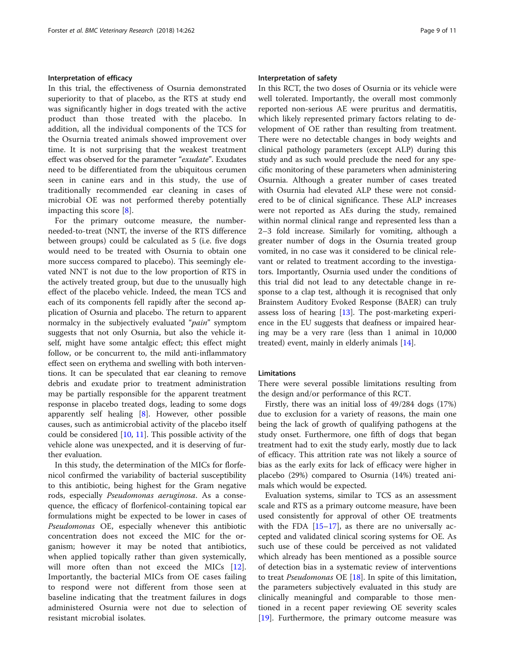### Interpretation of efficacy

In this trial, the effectiveness of Osurnia demonstrated superiority to that of placebo, as the RTS at study end was significantly higher in dogs treated with the active product than those treated with the placebo. In addition, all the individual components of the TCS for the Osurnia treated animals showed improvement over time. It is not surprising that the weakest treatment effect was observed for the parameter "exudate". Exudates need to be differentiated from the ubiquitous cerumen seen in canine ears and in this study, the use of traditionally recommended ear cleaning in cases of microbial OE was not performed thereby potentially impacting this score [\[8](#page-9-0)].

For the primary outcome measure, the numberneeded-to-treat (NNT, the inverse of the RTS difference between groups) could be calculated as 5 (i.e. five dogs would need to be treated with Osurnia to obtain one more success compared to placebo). This seemingly elevated NNT is not due to the low proportion of RTS in the actively treated group, but due to the unusually high effect of the placebo vehicle. Indeed, the mean TCS and each of its components fell rapidly after the second application of Osurnia and placebo. The return to apparent normalcy in the subjectively evaluated "pain" symptom suggests that not only Osurnia, but also the vehicle itself, might have some antalgic effect; this effect might follow, or be concurrent to, the mild anti-inflammatory effect seen on erythema and swelling with both interventions. It can be speculated that ear cleaning to remove debris and exudate prior to treatment administration may be partially responsible for the apparent treatment response in placebo treated dogs, leading to some dogs apparently self healing [[8\]](#page-9-0). However, other possible causes, such as antimicrobial activity of the placebo itself could be considered [\[10,](#page-9-0) [11\]](#page-9-0). This possible activity of the vehicle alone was unexpected, and it is deserving of further evaluation.

In this study, the determination of the MICs for florfenicol confirmed the variability of bacterial susceptibility to this antibiotic, being highest for the Gram negative rods, especially Pseudomonas aeruginosa. As a consequence, the efficacy of florfenicol-containing topical ear formulations might be expected to be lower in cases of Pseudomonas OE, especially whenever this antibiotic concentration does not exceed the MIC for the organism; however it may be noted that antibiotics, when applied topically rather than given systemically, will more often than not exceed the MICs [\[12](#page-10-0)]. Importantly, the bacterial MICs from OE cases failing to respond were not different from those seen at baseline indicating that the treatment failures in dogs administered Osurnia were not due to selection of resistant microbial isolates.

#### Interpretation of safety

In this RCT, the two doses of Osurnia or its vehicle were well tolerated. Importantly, the overall most commonly reported non-serious AE were pruritus and dermatitis, which likely represented primary factors relating to development of OE rather than resulting from treatment. There were no detectable changes in body weights and clinical pathology parameters (except ALP) during this study and as such would preclude the need for any specific monitoring of these parameters when administering Osurnia. Although a greater number of cases treated with Osurnia had elevated ALP these were not considered to be of clinical significance. These ALP increases were not reported as AEs during the study, remained within normal clinical range and represented less than a 2–3 fold increase. Similarly for vomiting, although a greater number of dogs in the Osurnia treated group vomited, in no case was it considered to be clinical relevant or related to treatment according to the investigators. Importantly, Osurnia used under the conditions of this trial did not lead to any detectable change in response to a clap test, although it is recognised that only Brainstem Auditory Evoked Response (BAER) can truly assess loss of hearing [\[13](#page-10-0)]. The post-marketing experience in the EU suggests that deafness or impaired hearing may be a very rare (less than 1 animal in 10,000 treated) event, mainly in elderly animals [\[14](#page-10-0)].

#### Limitations

There were several possible limitations resulting from the design and/or performance of this RCT.

Firstly, there was an initial loss of 49/284 dogs (17%) due to exclusion for a variety of reasons, the main one being the lack of growth of qualifying pathogens at the study onset. Furthermore, one fifth of dogs that began treatment had to exit the study early, mostly due to lack of efficacy. This attrition rate was not likely a source of bias as the early exits for lack of efficacy were higher in placebo (29%) compared to Osurnia (14%) treated animals which would be expected.

Evaluation systems, similar to TCS as an assessment scale and RTS as a primary outcome measure, have been used consistently for approval of other OE treatments with the FDA [[15](#page-10-0)-[17](#page-10-0)], as there are no universally accepted and validated clinical scoring systems for OE. As such use of these could be perceived as not validated which already has been mentioned as a possible source of detection bias in a systematic review of interventions to treat Pseudomonas OE [[18](#page-10-0)]. In spite of this limitation, the parameters subjectively evaluated in this study are clinically meaningful and comparable to those mentioned in a recent paper reviewing OE severity scales [[19\]](#page-10-0). Furthermore, the primary outcome measure was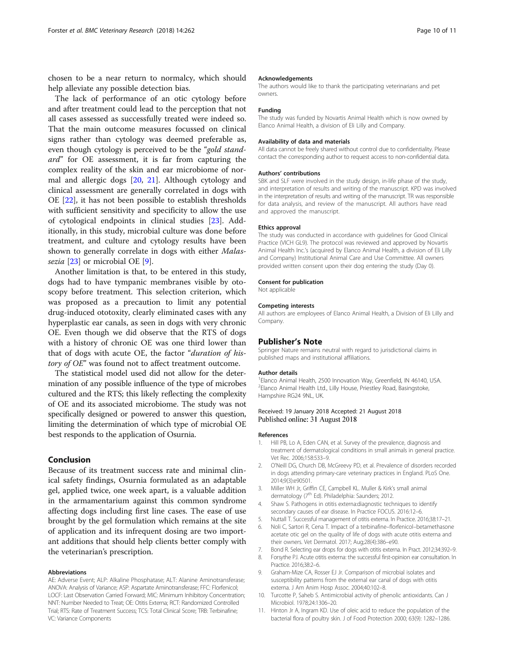<span id="page-9-0"></span>chosen to be a near return to normalcy, which should help alleviate any possible detection bias.

The lack of performance of an otic cytology before and after treatment could lead to the perception that not all cases assessed as successfully treated were indeed so. That the main outcome measures focussed on clinical signs rather than cytology was deemed preferable as, even though cytology is perceived to be the "gold standard" for OE assessment, it is far from capturing the complex reality of the skin and ear microbiome of normal and allergic dogs [\[20,](#page-10-0) [21\]](#page-10-0). Although cytology and clinical assessment are generally correlated in dogs with OE [[22](#page-10-0)], it has not been possible to establish thresholds with sufficient sensitivity and specificity to allow the use of cytological endpoints in clinical studies [\[23\]](#page-10-0). Additionally, in this study, microbial culture was done before treatment, and culture and cytology results have been shown to generally correlate in dogs with either Malas-sezia [\[23](#page-10-0)] or microbial OE [9].

Another limitation is that, to be entered in this study, dogs had to have tympanic membranes visible by otoscopy before treatment. This selection criterion, which was proposed as a precaution to limit any potential drug-induced ototoxity, clearly eliminated cases with any hyperplastic ear canals, as seen in dogs with very chronic OE. Even though we did observe that the RTS of dogs with a history of chronic OE was one third lower than that of dogs with acute OE, the factor "duration of history of OE" was found not to affect treatment outcome.

The statistical model used did not allow for the determination of any possible influence of the type of microbes cultured and the RTS; this likely reflecting the complexity of OE and its associated microbiome. The study was not specifically designed or powered to answer this question, limiting the determination of which type of microbial OE best responds to the application of Osurnia.

## Conclusion

Because of its treatment success rate and minimal clinical safety findings, Osurnia formulated as an adaptable gel, applied twice, one week apart, is a valuable addition in the armamentarium against this common syndrome affecting dogs including first line cases. The ease of use brought by the gel formulation which remains at the site of application and its infrequent dosing are two important additions that should help clients better comply with the veterinarian's prescription.

#### Abbreviations

AE: Adverse Event; ALP: Alkaline Phosphatase; ALT: Alanine Aminotransferase; ANOVA: Analysis of Variance; ASP: Aspartate Aminotransferase; FFC: Florfenicol; LOCF: Last Observation Carried Forward; MIC: Minimum Inhibitory Concentration; NNT: Number Needed to Treat; OE: Otitis Externa; RCT: Randomized Controlled Trial; RTS: Rate of Treatment Success; TCS: Total Clinical Score; TRB: Terbinafine; VC: Variance Components

#### Acknowledgements

The authors would like to thank the participating veterinarians and pet owners.

#### Funding

The study was funded by Novartis Animal Health which is now owned by Elanco Animal Health, a division of Eli Lilly and Company.

#### Availability of data and materials

All data cannot be freely shared without control due to confidentiality. Please contact the corresponding author to request access to non-confidential data.

#### Authors' contributions

SBK and SLF were involved in the study design, in-life phase of the study, and interpretation of results and writing of the manuscript. KPD was involved in the interpretation of results and writing of the manuscript. TR was responsible for data analysis, and review of the manuscript. All authors have read and approved the manuscript.

#### Ethics approval

The study was conducted in accordance with guidelines for Good Clinical Practice (VICH GL9). The protocol was reviewed and approved by Novartis Animal Health Inc.'s (acquired by Elanco Animal Health, a division of Eli Lilly and Company) Institutional Animal Care and Use Committee. All owners provided written consent upon their dog entering the study (Day 0).

### Consent for publication

Not applicable

#### Competing interests

All authors are employees of Elanco Animal Health, a Division of Eli Lilly and Company.

#### Publisher's Note

Springer Nature remains neutral with regard to jurisdictional claims in published maps and institutional affiliations.

#### Author details

<sup>1</sup> Elanco Animal Health, 2500 Innovation Way, Greenfield, IN 46140, USA <sup>2</sup> Elanco Animal Health Ltd., Lilly House, Priestley Road, Basingstoke, Hampshire RG24 9NL, UK.

#### Received: 19 January 2018 Accepted: 21 August 2018 Published online: 31 August 2018

#### References

- Hill PB, Lo A, Eden CAN, et al. Survey of the prevalence, diagnosis and treatment of dermatological conditions in small animals in general practice. Vet Rec. 2006;158:533–9.
- 2. O'Neill DG, Church DB, McGreevy PD, et al. Prevalence of disorders recorded in dogs attending primary-care veterinary practices in England. PLoS One. 2014;9(3):e90501.
- 3. Miller WH Jr, Griffin CE, Campbell KL. Muller & Kirk's small animal dermatology (7<sup>th</sup> Ed). Philadelphia: Saunders; 2012.
- 4. Shaw S. Pathogens in otitis externa:diagnostic techniques to identify secondary causes of ear disease. In Practice FOCUS. 2016:12–6.
- 5. Nuttall T. Successful management of otitis externa. In Practice. 2016;38:17–21.
- Noli C, Sartori R, Cena T. Impact of a terbinafine–florfenicol–betamethasone acetate otic gel on the quality of life of dogs with acute otitis externa and their owners. Vet Dermatol. 2017; Aug;28(4):386–e90.
- 7. Bond R. Selecting ear drops for dogs with otitis externa. In Pract. 2012;34:392–9.
- 8. Forsythe PJ. Acute otitis externa: the successful first-opinion ear consultation. In Practice. 2016;38:2–6.
- 9. Graham-Mize CA, Rosser EJ Jr. Comparison of microbial isolates and susceptibility patterns from the external ear canal of dogs with otitis externa. J Am Anim Hosp Assoc. 2004;40:102–8.
- 10. Turcotte P, Saheb S. Antimicrobial activity of phenolic antioxidants. Can J Microbiol. 1978;24:1306–20.
- 11. Hinton Jr A, Ingram KD. Use of oleic acid to reduce the population of the bacterial flora of poultry skin. J of Food Protection 2000; 63(9): 1282–1286.